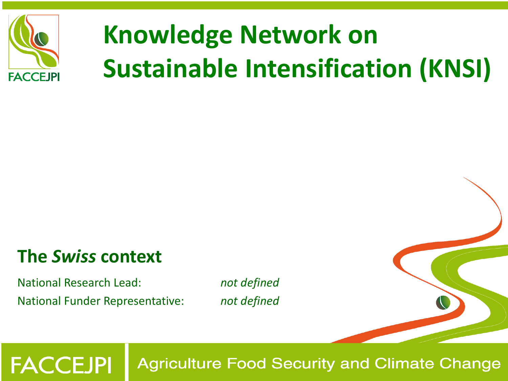

# **Knowledge Network on Sustainable Intensification (KNSI)**

### **The** *Swiss* **context**

**FACCEJPI** 

National Research Lead: *not defined* National Funder Representative: *not defined*

**Agriculture Food Security and Climate Change**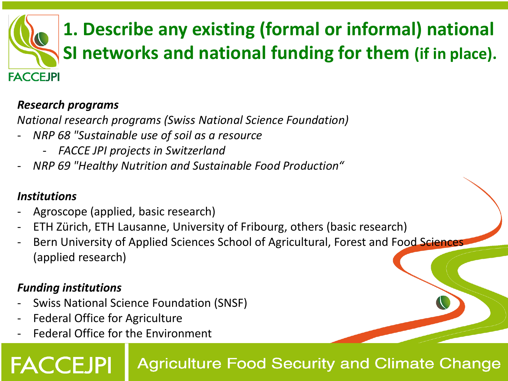## **1. Describe any existing (formal or informal) national SI networks and national funding for them (if in place). FACCEJPI**

#### *Research programs*

*National research programs (Swiss National Science Foundation)*

- *NRP 68 "Sustainable use of soil as a resource*
	- *FACCE JPI projects in Switzerland*
- *NRP 69 "Healthy Nutrition and Sustainable Food Production"*

#### *Institutions*

- Agroscope (applied, basic research)
- ETH Zürich, ETH Lausanne, University of Fribourg, others (basic research)
- Bern University of Applied Sciences School of Agricultural, Forest and Food Sciences (applied research)

#### *Funding institutions*

- Swiss National Science Foundation (SNSF)
- Federal Office for Agriculture
- Federal Office for the Environment

### **Agriculture Food Security and Climate Change**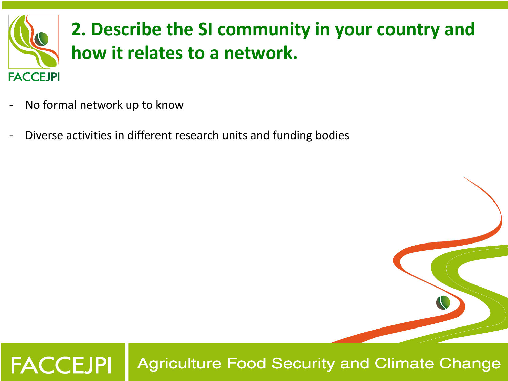

- No formal network up to know
- Diverse activities in different research units and funding bodies

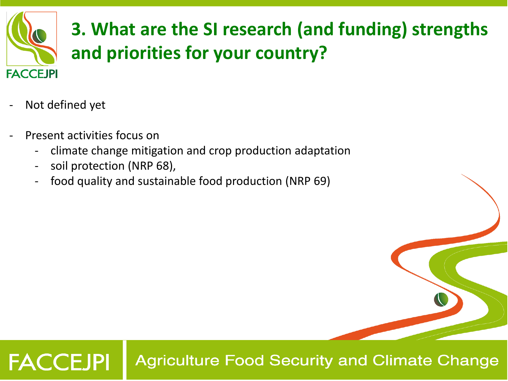

# **3. What are the SI research (and funding) strengths and priorities for your country?**

- Not defined yet
- Present activities focus on
	- climate change mitigation and crop production adaptation
	- soil protection (NRP 68),
	- food quality and sustainable food production (NRP 69)

#### **FACCEJPI Agriculture Food Security and Climate Change**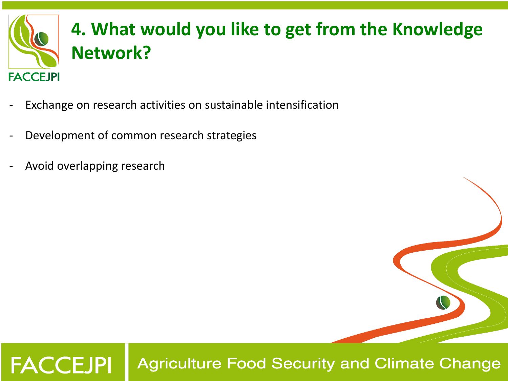

- Exchange on research activities on sustainable intensification
- Development of common research strategies
- Avoid overlapping research